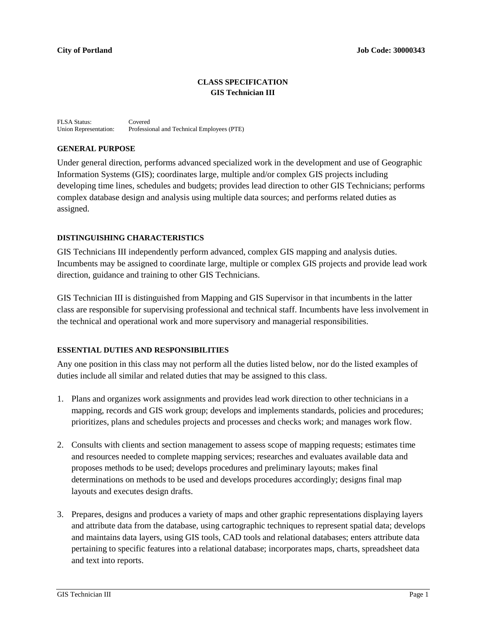## **CLASS SPECIFICATION GIS Technician III**

FLSA Status: Covered Union Representation: Professional and Technical Employees (PTE)

#### **GENERAL PURPOSE**

Under general direction, performs advanced specialized work in the development and use of Geographic Information Systems (GIS); coordinates large, multiple and/or complex GIS projects including developing time lines, schedules and budgets; provides lead direction to other GIS Technicians; performs complex database design and analysis using multiple data sources; and performs related duties as assigned.

## **DISTINGUISHING CHARACTERISTICS**

GIS Technicians III independently perform advanced, complex GIS mapping and analysis duties. Incumbents may be assigned to coordinate large, multiple or complex GIS projects and provide lead work direction, guidance and training to other GIS Technicians.

GIS Technician III is distinguished from Mapping and GIS Supervisor in that incumbents in the latter class are responsible for supervising professional and technical staff. Incumbents have less involvement in the technical and operational work and more supervisory and managerial responsibilities.

#### **ESSENTIAL DUTIES AND RESPONSIBILITIES**

Any one position in this class may not perform all the duties listed below, nor do the listed examples of duties include all similar and related duties that may be assigned to this class.

- 1. Plans and organizes work assignments and provides lead work direction to other technicians in a mapping, records and GIS work group; develops and implements standards, policies and procedures; prioritizes, plans and schedules projects and processes and checks work; and manages work flow.
- 2. Consults with clients and section management to assess scope of mapping requests; estimates time and resources needed to complete mapping services; researches and evaluates available data and proposes methods to be used; develops procedures and preliminary layouts; makes final determinations on methods to be used and develops procedures accordingly; designs final map layouts and executes design drafts.
- 3. Prepares, designs and produces a variety of maps and other graphic representations displaying layers and attribute data from the database, using cartographic techniques to represent spatial data; develops and maintains data layers, using GIS tools, CAD tools and relational databases; enters attribute data pertaining to specific features into a relational database; incorporates maps, charts, spreadsheet data and text into reports.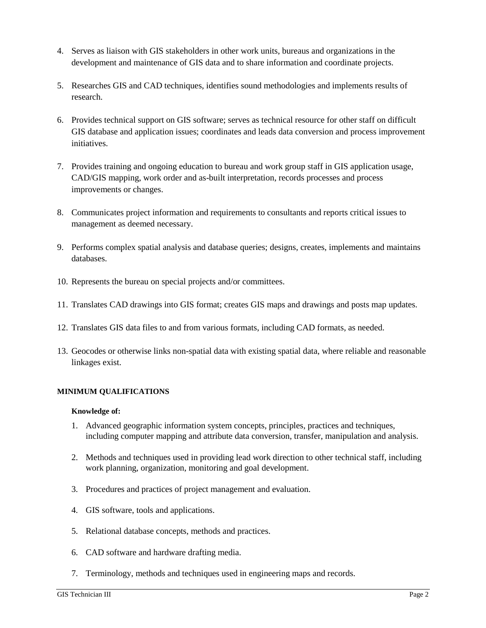- 4. Serves as liaison with GIS stakeholders in other work units, bureaus and organizations in the development and maintenance of GIS data and to share information and coordinate projects.
- 5. Researches GIS and CAD techniques, identifies sound methodologies and implements results of research.
- 6. Provides technical support on GIS software; serves as technical resource for other staff on difficult GIS database and application issues; coordinates and leads data conversion and process improvement initiatives.
- 7. Provides training and ongoing education to bureau and work group staff in GIS application usage, CAD/GIS mapping, work order and as-built interpretation, records processes and process improvements or changes.
- 8. Communicates project information and requirements to consultants and reports critical issues to management as deemed necessary.
- 9. Performs complex spatial analysis and database queries; designs, creates, implements and maintains databases.
- 10. Represents the bureau on special projects and/or committees.
- 11. Translates CAD drawings into GIS format; creates GIS maps and drawings and posts map updates.
- 12. Translates GIS data files to and from various formats, including CAD formats, as needed.
- 13. Geocodes or otherwise links non-spatial data with existing spatial data, where reliable and reasonable linkages exist.

## **MINIMUM QUALIFICATIONS**

#### **Knowledge of:**

- 1. Advanced geographic information system concepts, principles, practices and techniques, including computer mapping and attribute data conversion, transfer, manipulation and analysis.
- 2. Methods and techniques used in providing lead work direction to other technical staff, including work planning, organization, monitoring and goal development.
- 3. Procedures and practices of project management and evaluation.
- 4. GIS software, tools and applications.
- 5. Relational database concepts, methods and practices.
- 6. CAD software and hardware drafting media.
- 7. Terminology, methods and techniques used in engineering maps and records.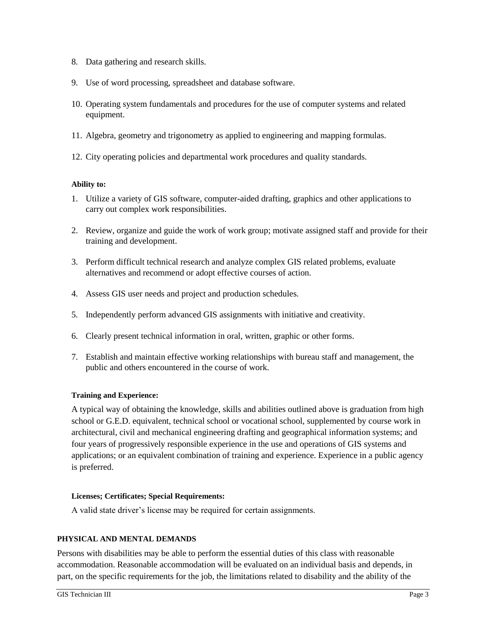- 8. Data gathering and research skills.
- 9. Use of word processing, spreadsheet and database software.
- 10. Operating system fundamentals and procedures for the use of computer systems and related equipment.
- 11. Algebra, geometry and trigonometry as applied to engineering and mapping formulas.
- 12. City operating policies and departmental work procedures and quality standards.

# **Ability to:**

- 1. Utilize a variety of GIS software, computer-aided drafting, graphics and other applications to carry out complex work responsibilities.
- 2. Review, organize and guide the work of work group; motivate assigned staff and provide for their training and development.
- 3. Perform difficult technical research and analyze complex GIS related problems, evaluate alternatives and recommend or adopt effective courses of action.
- 4. Assess GIS user needs and project and production schedules.
- 5. Independently perform advanced GIS assignments with initiative and creativity.
- 6. Clearly present technical information in oral, written, graphic or other forms.
- 7. Establish and maintain effective working relationships with bureau staff and management, the public and others encountered in the course of work.

# **Training and Experience:**

A typical way of obtaining the knowledge, skills and abilities outlined above is graduation from high school or G.E.D. equivalent, technical school or vocational school, supplemented by course work in architectural, civil and mechanical engineering drafting and geographical information systems; and four years of progressively responsible experience in the use and operations of GIS systems and applications; or an equivalent combination of training and experience. Experience in a public agency is preferred.

# **Licenses; Certificates; Special Requirements:**

A valid state driver's license may be required for certain assignments.

# **PHYSICAL AND MENTAL DEMANDS**

Persons with disabilities may be able to perform the essential duties of this class with reasonable accommodation. Reasonable accommodation will be evaluated on an individual basis and depends, in part, on the specific requirements for the job, the limitations related to disability and the ability of the